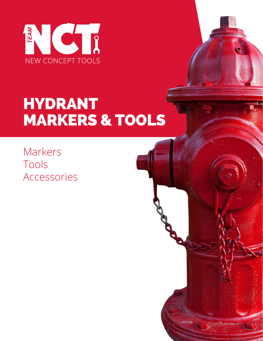

# HYDRANT MARKERS & TOOLS

Markers Tools Accessories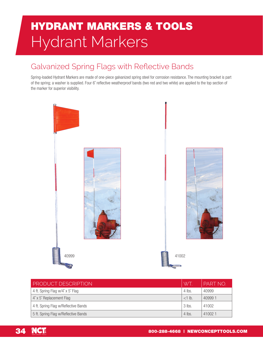### HYDRANT MARKERS & TOOLS Hydrant Markers

#### Galvanized Spring Flags with Reflective Bands

Spring-loaded Hydrant Markers are made of one-piece galvanized spring steel for corrosion resistance. The mounting bracket is part of the spring; a washer is supplied. Four 6˝ reflective weatherproof bands (two red and two white) are applied to the top section of the marker for superior visibility.



| <b>PRODUCT DESCRIPTION</b>           | WT       | PART NO |
|--------------------------------------|----------|---------|
| 4 ft. Spring Flag w/4" x 5" Flag     | $4$ lbs. | 40999   |
| 4" x 5" Replacement Flag             | $<1$ lb. | 409991  |
| 4 ft. Spring Flag w/Reflective Bands | $3$ lbs. | 41002   |
| 5 ft. Spring Flag w/Reflective Bands | $4$ lbs. | 410021  |

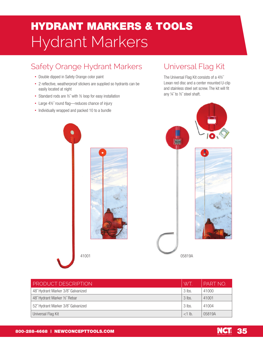### HYDRANT MARKERS & TOOLS Hydrant Markers

#### Safety Orange Hydrant Markers

- Double dipped in Safety Orange color paint
- 2 reflective, weatherproof stickers are supplied so hydrants can be easily located at night
- Standard rods are 1/2" with 1/2 loop for easy installation
- Large 4½" round flag-reduces chance of injury
- Individually wrapped and packed 10 to a bundle

#### Universal Flag Kit

The Universal Flag Kit consists of a 4½˝ Lexan red disc and a center mounted U-clip and stainless steel set screw. The kit will fit any ¼˝ to ½˝ steel shaft.



41001 05819A

| <b>PRODUCT DESCRIPTION</b>         | WT.      | PART NO. |
|------------------------------------|----------|----------|
| 48" Hydrant Marker 3/8" Galvanized | $3$ lbs. | 41000    |
| 48" Hydrant Marker 1/2" Rebar      | $3$ lbs. | 41001    |
| 52" Hydrant Marker 3/8" Galvanized | $3$ lbs. | 41004    |
| Universal Flag Kit                 | $<1$ lb. | 05819A   |

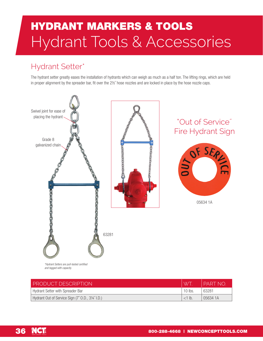## HYDRANT MARKERS & TOOLS Hydrant Tools & Accessories

### Hydrant Setter\*

The hydrant setter greatly eases the installation of hydrants which can weigh as much as a half ton. The lifting rings, which are held in proper alignment by the spreader bar, fit over the 2½" hose nozzles and are locked in place by the hose nozzle caps.



*\*Hydrant Setters are pull-tested certified and tagged with capacity.*

| <b>PRODUCT DESCRIPTION</b>                      |           | PART NO  |
|-------------------------------------------------|-----------|----------|
| Hydrant Setter with Spreader Bar                | $10$ lbs. | 63281    |
| Hydrant Out of Service Sign (7" O.D., 3¼" I.D.) | $<1$ lb.  | 05634 1A |